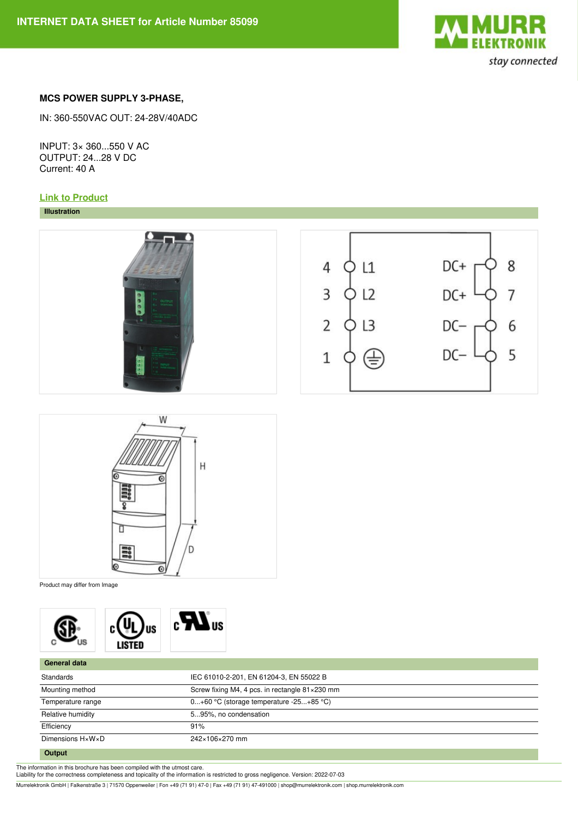

## **MCS POWER SUPPLY 3-PHASE,**

IN: 360-550VAC OUT: 24-28V/40ADC

INPUT: 3× 360...550 V AC OUTPUT: 24...28 V DC Current: 40 A

## **Link to [Product](https://shop.murrelektronik.com/85099)**

## **Illustration**





Product may differ from Image



| General data      |                                                |
|-------------------|------------------------------------------------|
| Standards         | IEC 61010-2-201, EN 61204-3, EN 55022 B        |
| Mounting method   | Screw fixing M4, 4 pcs. in rectangle 81×230 mm |
| Temperature range | $0+60$ °C (storage temperature -25+85 °C)      |
| Relative humidity | 595%, no condensation                          |
| Efficiency        | 91%                                            |
| Dimensions H×W×D  | 242×106×270 mm                                 |
| $\sim$ $\sim$     |                                                |

## **Output**

The information in this brochure has been compiled with the utmost care. Liability for the correctness completeness and topicality of the information is restricted to gross negligence. Version: 2022-07-03

Murrelektronik GmbH | Falkenstraße 3 | 71570 Oppenweiler | Fon +49 (71 91) 47-0 | Fax +49 (71 91) 47-491000 | shop@murrelektronik.com | shop.murrelektronik.com